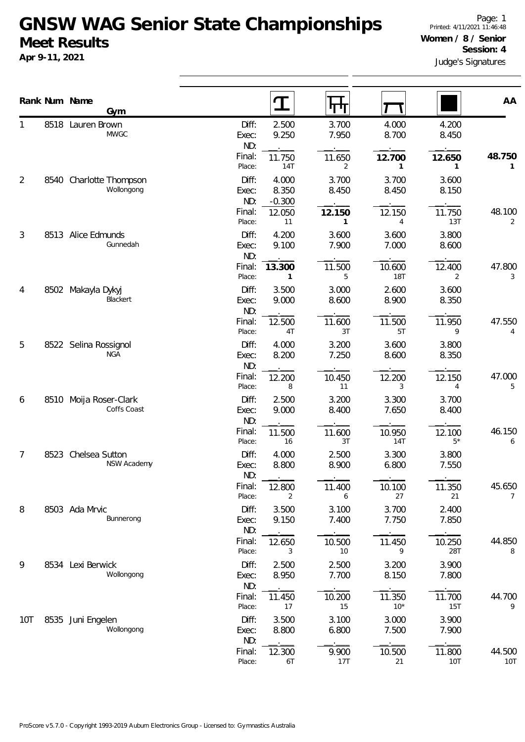**Apr 9-11, 2021**

|                |      | Rank Num Name<br>Gym                  | I                                                     | पग                                         |                               |                          | AA                        |
|----------------|------|---------------------------------------|-------------------------------------------------------|--------------------------------------------|-------------------------------|--------------------------|---------------------------|
|                |      | 8518 Lauren Brown<br><b>MWGC</b>      | Diff:<br>Exec:<br>ND:                                 | 2.500<br>3.700<br>9.250<br>7.950           | 4.000<br>8.700                | 4.200<br>8.450           |                           |
|                |      |                                       | Final:<br>11.750<br>Place:                            | 11.650<br>14T<br>$\overline{2}$            | 12.700<br>1                   | 12.650<br>1              | 48.750<br>1               |
| $\overline{2}$ | 8540 | Charlotte Thompson<br>Wollongong      | Diff:<br>Exec:<br>ND:<br>$-0.300$<br>Final:<br>12.050 | 4.000<br>3.700<br>8.350<br>8.450<br>12.150 | 3.700<br>8.450<br>12.150      | 3.600<br>8.150<br>11.750 | 48.100                    |
| 3              | 8513 | Alice Edmunds                         | Place:<br>Diff:                                       | 11<br>1<br>4.200<br>3.600                  | 4<br>3.600                    | 13T<br>3.800             | $\overline{2}$            |
|                |      | Gunnedah                              | Exec:<br>ND:<br>Final:<br>13.300<br>Place:            | 9.100<br>7.900<br>11.500<br>1<br>5         | 7.000<br>10.600<br><b>18T</b> | 8.600<br>12.400<br>2     | 47.800<br>3               |
| 4              |      | 8502 Makayla Dykyj<br>Blackert        | Diff:<br>Exec:<br>ND:                                 | 3.500<br>3.000<br>9.000<br>8.600           | 2.600<br>8.900                | 3.600<br>8.350           |                           |
|                |      |                                       | Final:<br>12.500<br>Place:                            | 11.600<br>4T<br>3T                         | 11.500<br>5T                  | 11.950<br>9              | 47.550<br>4               |
| 5              |      | 8522 Selina Rossignol<br><b>NGA</b>   | Diff:<br>Exec:<br>ND:                                 | 4.000<br>3.200<br>8.200<br>7.250           | 3.600<br>8.600                | 3.800<br>8.350           |                           |
|                |      |                                       | Final:<br>12.200<br>Place:                            | 10.450<br>11<br>8                          | 12.200<br>3                   | 12.150<br>4              | 47.000<br>5               |
| 6              |      | 8510 Moija Roser-Clark<br>Coffs Coast | Diff:<br>Exec:<br>ND:                                 | 2.500<br>3.200<br>9.000<br>8.400           | 3.300<br>7.650                | 3.700<br>8.400           |                           |
|                |      |                                       | Final:<br>11.500<br>Place:                            | 11.600<br>16<br>3T                         | 10.950<br><b>14T</b>          | 12.100<br>$5*$           | 46.150<br>6               |
| 7              | 8523 | Chelsea Sutton<br><b>NSW Academy</b>  | Diff:<br>Exec:<br>ND:                                 | 4.000<br>2.500<br>8.800<br>8.900           | 3.300<br>6.800                | 3.800<br>7.550           |                           |
|                |      |                                       | Final:<br>12.800<br>Place:                            | 11.400<br>2<br>6                           | 10.100<br>27                  | 11.350<br>21             | 45.650<br>$7\overline{ }$ |
| 8              |      | 8503 Ada Mrvic<br>Bunnerong           | Diff:<br>Exec:<br>ND:                                 | 3.500<br>3.100<br>9.150<br>7.400           | 3.700<br>7.750                | 2.400<br>7.850           |                           |
|                |      |                                       | Final:<br>12.650<br>Place:                            | 10.500<br>10<br>3                          | 11.450<br>9                   | 10.250<br>28T            | 44.850<br>8               |
| 9              |      | 8534 Lexi Berwick<br>Wollongong       | Diff:<br>Exec:<br>ND:                                 | 2.500<br>2.500<br>8.950<br>7.700           | 3.200<br>8.150                | 3.900<br>7.800           |                           |
|                |      |                                       | Final:<br>11.450<br>Place:                            | 10.200<br>17<br>15                         | 11.350<br>$10*$               | 11.700<br>15T            | 44.700<br>9               |
| 10T            | 8535 | Juni Engelen<br>Wollongong            | Diff:<br>Exec:<br>ND:                                 | 3.100<br>3.500<br>8.800<br>6.800           | 3.000<br>7.500                | 3.900<br>7.900           |                           |
|                |      |                                       | Final:<br>12.300<br>Place:                            | 9.900<br>17T<br>6T                         | 10.500<br>21                  | 11.800<br>10T            | 44.500<br>10T             |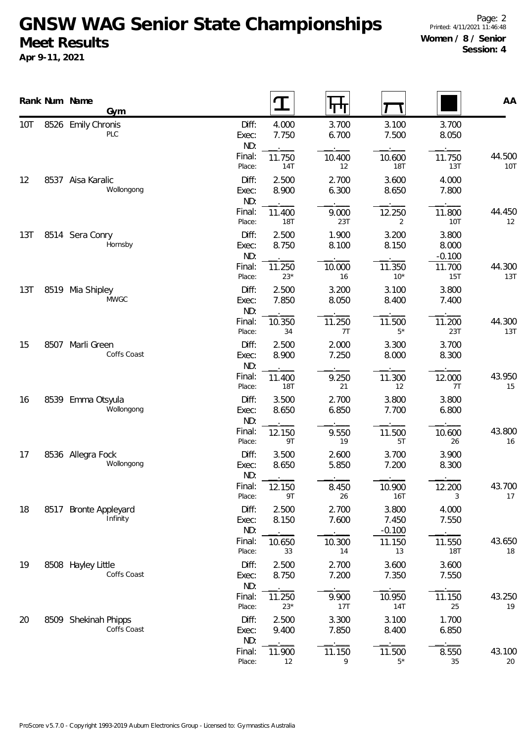**Apr 9-11, 2021**

|     |      | Rank Num Name<br>Gym                |                       | T                    | पग             |                            |                            | AA                   |
|-----|------|-------------------------------------|-----------------------|----------------------|----------------|----------------------------|----------------------------|----------------------|
| 10T |      | 8526 Emily Chronis<br>PLC           | Diff:<br>Exec:<br>ND: | 4.000<br>7.750       | 3.700<br>6.700 | 3.100<br>7.500             | 3.700<br>8.050             |                      |
|     |      |                                     | Final:<br>Place:      | 11.750<br><b>14T</b> | 10.400<br>12   | 10.600<br><b>18T</b>       | 11.750<br>13T              | 44.500<br><b>10T</b> |
| 12  |      | 8537 Aisa Karalic<br>Wollongong     | Diff:<br>Exec:<br>ND: | 2.500<br>8.900       | 2.700<br>6.300 | 3.600<br>8.650             | 4.000<br>7.800             |                      |
|     |      |                                     | Final:<br>Place:      | 11.400<br><b>18T</b> | 9.000<br>23T   | 12.250<br>2                | 11.800<br><b>10T</b>       | 44.450<br>12         |
| 13T |      | 8514 Sera Conry<br>Hornsby          | Diff:<br>Exec:<br>ND: | 2.500<br>8.750       | 1.900<br>8.100 | 3.200<br>8.150             | 3.800<br>8.000<br>$-0.100$ |                      |
|     |      |                                     | Final:<br>Place:      | 11.250<br>$23*$      | 10.000<br>16   | 11.350<br>$10*$            | 11.700<br>15T              | 44.300<br>13T        |
| 13T |      | 8519 Mia Shipley<br><b>MWGC</b>     | Diff:<br>Exec:<br>ND: | 2.500<br>7.850       | 3.200<br>8.050 | 3.100<br>8.400             | 3.800<br>7.400             |                      |
|     |      |                                     | Final:<br>Place:      | 10.350<br>34         | 11.250<br>7T   | 11.500<br>$5*$             | 11.200<br>23T              | 44.300<br>13T        |
| 15  |      | 8507 Marli Green<br>Coffs Coast     | Diff:<br>Exec:<br>ND: | 2.500<br>8.900       | 2.000<br>7.250 | 3.300<br>8.000             | 3.700<br>8.300             |                      |
|     |      |                                     | Final:<br>Place:      | 11.400<br><b>18T</b> | 9.250<br>21    | 11.300<br>12               | 12.000<br>7T               | 43.950<br>15         |
| 16  |      | 8539 Emma Otsyula<br>Wollongong     | Diff:<br>Exec:<br>ND: | 3.500<br>8.650       | 2.700<br>6.850 | 3.800<br>7.700             | 3.800<br>6.800             |                      |
|     |      |                                     | Final:<br>Place:      | 12.150<br>9T         | 9.550<br>19    | 11.500<br>5T               | 10.600<br>26               | 43.800<br>16         |
| 17  |      | 8536 Allegra Fock<br>Wollongong     | Diff:<br>Exec:<br>ND: | 3.500<br>8.650       | 2.600<br>5.850 | 3.700<br>7.200             | 3.900<br>8.300             |                      |
|     |      |                                     | Final:<br>Place:      | 12.150<br>9T         | 8.450<br>26    | 10.900<br><b>16T</b>       | 12.200<br>3                | 43.700<br>17         |
| 18  | 8517 | <b>Bronte Appleyard</b><br>Infinity | Diff:<br>Exec:<br>ND: | 2.500<br>8.150       | 2.700<br>7.600 | 3.800<br>7.450<br>$-0.100$ | 4.000<br>7.550             |                      |
|     |      |                                     | Final:<br>Place:      | 10.650<br>33         | 10.300<br>14   | 11.150<br>13               | 11.550<br><b>18T</b>       | 43.650<br>18         |
| 19  |      | 8508 Hayley Little<br>Coffs Coast   | Diff:<br>Exec:<br>ND: | 2.500<br>8.750       | 2.700<br>7.200 | 3.600<br>7.350             | 3.600<br>7.550             |                      |
|     |      |                                     | Final:<br>Place:      | 11.250<br>$23*$      | 9.900<br>17T   | 10.950<br>14T              | 11.150<br>25               | 43.250<br>19         |
| 20  |      | 8509 Shekinah Phipps<br>Coffs Coast | Diff:<br>Exec:<br>ND: | 2.500<br>9.400       | 3.300<br>7.850 | 3.100<br>8.400             | 1.700<br>6.850             |                      |
|     |      |                                     | Final:<br>Place:      | 11.900<br>12         | 11.150<br>9    | 11.500<br>$5*$             | 8.550<br>35                | 43.100<br>20         |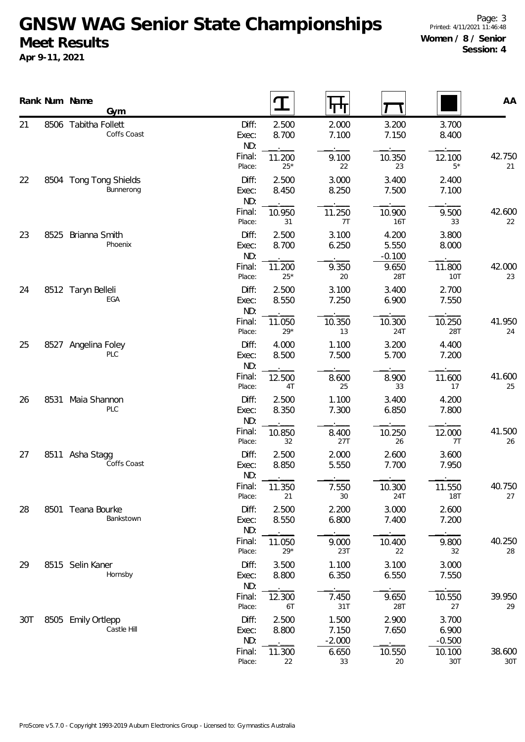**Apr 9-11, 2021**

Page: 3 Printed: 4/11/2021 11:46:48 **Women / 8 / Senior Session: 4**

|          | Rank Num Name<br><b>Gym</b>         |                       |                 |                            |                            |                            | AA                   |
|----------|-------------------------------------|-----------------------|-----------------|----------------------------|----------------------------|----------------------------|----------------------|
| 21       | 8506 Tabitha Follett<br>Coffs Coast | Diff:<br>Exec:<br>ND: | 2.500<br>8.700  | 2.000<br>7.100             | 3.200<br>7.150             | 3.700<br>8.400             |                      |
|          |                                     | Final:<br>Place:      | 11.200<br>$25*$ | 9.100<br>22                | 10.350<br>23               | 12.100<br>$5*$             | 42.750<br>21         |
| 22       | 8504 Tong Tong Shields<br>Bunnerong | Diff:<br>Exec:<br>ND: | 2.500<br>8.450  | 3.000<br>8.250             | 3.400<br>7.500             | 2.400<br>7.100             |                      |
|          |                                     | Final:<br>Place:      | 10.950<br>31    | 11.250<br>7T               | 10.900<br><b>16T</b>       | 9.500<br>33                | 42.600<br>22         |
| 23       | 8525 Brianna Smith<br>Phoenix       | Diff:<br>Exec:<br>ND: | 2.500<br>8.700  | 3.100<br>6.250             | 4.200<br>5.550<br>$-0.100$ | 3.800<br>8.000             |                      |
|          |                                     | Final:<br>Place:      | 11.200<br>$25*$ | 9.350<br>20                | 9.650<br>28T               | 11.800<br>10T              | 42.000<br>23         |
| 24       | 8512 Taryn Belleli<br>EGA           | Diff:<br>Exec:<br>ND: | 2.500<br>8.550  | 3.100<br>7.250             | 3.400<br>6.900             | 2.700<br>7.550             |                      |
|          |                                     | Final:<br>Place:      | 11.050<br>$29*$ | 10.350<br>13               | 10.300<br>24T              | 10.250<br>28T              | 41.950<br>24         |
| 25<br>26 | 8527 Angelina Foley<br>PLC          | Diff:<br>Exec:<br>ND: | 4.000<br>8.500  | 1.100<br>7.500             | 3.200<br>5.700             | 4.400<br>7.200             |                      |
|          |                                     | Final:<br>Place:      | 12.500<br>4T    | 8.600<br>25                | 8.900<br>33                | 11.600<br>17               | 41.600<br>25         |
|          | 8531 Maia Shannon<br>PLC            | Diff:<br>Exec:<br>ND: | 2.500<br>8.350  | 1.100<br>7.300             | 3.400<br>6.850             | 4.200<br>7.800             |                      |
|          |                                     | Final:<br>Place:      | 10.850<br>32    | 8.400<br>27T               | 10.250<br>26               | 12.000<br>7T               | 41.500<br>26         |
| 27       | 8511 Asha Stagg<br>Coffs Coast      | Diff:<br>Exec:<br>ND: | 2.500<br>8.850  | 2.000<br>5.550             | 2.600<br>7.700             | 3.600<br>7.950             |                      |
|          |                                     | Final:<br>Place:      | 11.350<br>21    | 7.550<br>30                | 10.300<br>24T              | 11.550<br>18T              | 40.750<br>27         |
| 28       | 8501 Teana Bourke<br>Bankstown      | Diff:<br>Exec:<br>ND: | 2.500<br>8.550  | 2.200<br>6.800             | 3.000<br>7.400             | 2.600<br>7.200             |                      |
|          |                                     | Final:<br>Place:      | 11.050<br>$29*$ | 9.000<br>23T               | 10.400<br>22               | 9.800<br>32                | 40.250<br>28         |
| 29       | 8515 Selin Kaner<br>Hornsby         | Diff:<br>Exec:<br>ND: | 3.500<br>8.800  | 1.100<br>6.350             | 3.100<br>6.550             | 3.000<br>7.550             |                      |
|          |                                     | Final:<br>Place:      | 12.300<br>6T    | 7.450<br>31T               | 9.650<br>28T               | 10.550<br>27               | 39.950<br>29         |
| 30T      | 8505 Emily Ortlepp<br>Castle Hill   | Diff:<br>Exec:<br>ND: | 2.500<br>8.800  | 1.500<br>7.150<br>$-2.000$ | 2.900<br>7.650             | 3.700<br>6.900<br>$-0.500$ |                      |
|          |                                     | Final:<br>Place:      | 11.300<br>22    | 6.650<br>33                | 10.550<br>20               | 10.100<br>30T              | 38.600<br><b>30T</b> |